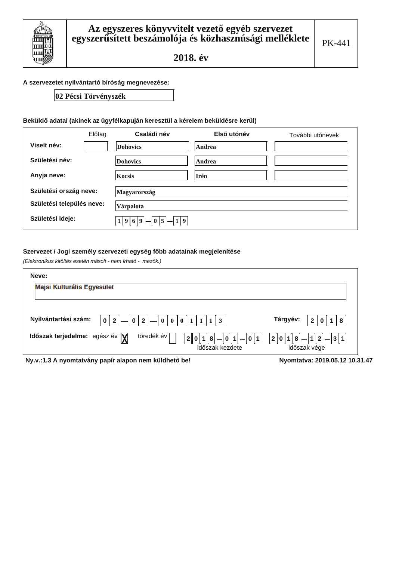

### A szervezetet nyilvántartó bíróság megnevezése:

### 02 Pécsi Törvényszék

### Beküldő adatai (akinek az ügyfélkapuján keresztül a kérelem beküldésre kerül)

|                           | Előtag | Családi név                 | Első utónév | További utónevek |
|---------------------------|--------|-----------------------------|-------------|------------------|
| Viselt név:               |        | <b>Dohovics</b>             | Andrea      |                  |
| Születési név:            |        | <b>Dohovics</b>             | Andrea      |                  |
| Anyja neve:               |        | Kocsis                      | Irén        |                  |
| Születési ország neve:    |        | Magyarország                |             |                  |
| Születési település neve: |        | Várpalota                   |             |                  |
| Születési ideje:          |        | $1 9 6 9 $ - $0 5 $ - $1 9$ |             |                  |

### Szervezet / Jogi személy szervezeti egység főbb adatainak megjelenítése

(Elektronikus kitöltés esetén másolt - nem írható - mezők.)

| Neve:                                                                                                                                                        |                                             |
|--------------------------------------------------------------------------------------------------------------------------------------------------------------|---------------------------------------------|
| Majsi Kulturális Egyesület                                                                                                                                   |                                             |
|                                                                                                                                                              |                                             |
| Nyilvántartási szám:<br>$ 0 2 $ $  0 0 0 1 1 1 3$<br>$\overline{0}$<br>$\overline{2}$                                                                        | Tárgyév:<br>8<br>$\mathbf{2}$               |
| töredék év<br>Időszak terjedelme: egész év $\sqrt{\mathbf{y}}$<br>$ 0 1  -  0 1$<br> 0 1 8 <br>2 <sup>1</sup><br>$\overline{\phantom{a}}$<br>időszak kezdete | $ 2 0 1 8  -  1 2  -  3 1 $<br>időszak vége |
| Ny.v.:1.3 A nyomtatvány papír alapon nem küldhető be!                                                                                                        | Nyomtatva: 2019.05.12 10.31.47              |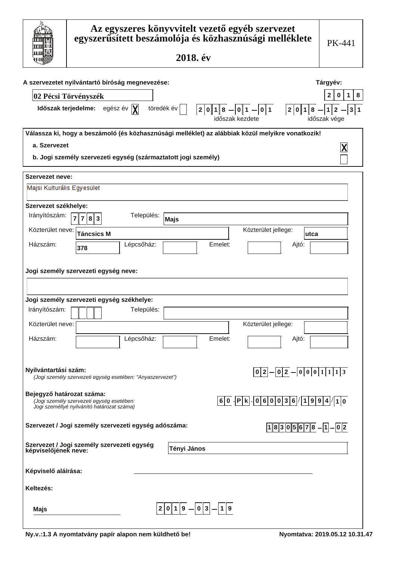|                                                                       | Az egyszeres könyvvitelt vezető egyéb szervezet<br>egyszerűsített beszámolója és közhasznúsági melléklete                                                           | 2018. év                                     |                                                                                                                                     | PK-441                                                                                           |
|-----------------------------------------------------------------------|---------------------------------------------------------------------------------------------------------------------------------------------------------------------|----------------------------------------------|-------------------------------------------------------------------------------------------------------------------------------------|--------------------------------------------------------------------------------------------------|
|                                                                       | A szervezetet nyilvántartó bíróság megnevezése:<br>02 Pécsi Törvényszék<br>Időszak terjedelme: egész év  X                                                          | töredék év                                   | $\mid$ 2 $\mid$ 0 $\mid$ 1 $\mid$ 8 $\mid$ $\!-\mid$ 0 $\mid$ 1 $\mid$ $\!-\mid$ 0 $\mid$ 1 $\mid$<br>2 0 1<br>8<br>időszak kezdete | Tárgyév:<br>2<br>8<br>$\mathbf{1}$<br>0<br>$\mathbf 3$<br> 1<br>$\mathbf 1$<br>2<br>időszak vége |
| a. Szervezet                                                          | Válassza ki, hogy a beszámoló (és közhasznúsági melléklet) az alábbiak közül melyikre vonatkozik!<br>b. Jogi személy szervezeti egység (származtatott jogi személy) |                                              |                                                                                                                                     |                                                                                                  |
| Szervezet neve:<br>Majsi Kulturális Egyesület                         |                                                                                                                                                                     |                                              |                                                                                                                                     |                                                                                                  |
| Szervezet székhelye:<br>Irányítószám:<br>Közterület neve:<br>Házszám: | Település:<br>783<br>$\overline{7}$<br><b>Táncsics M</b><br>Lépcsőház:<br>378<br>Jogi személy szervezeti egység neve:                                               | <b>Majs</b><br>Emelet:                       | Közterület jellege:<br>utca<br>Ajtó:                                                                                                |                                                                                                  |
| Irányítószám:<br>Közterület neve:<br>Házszám:                         | Jogi személy szervezeti egység székhelye:<br>Település:<br>Lépcsőház:                                                                                               | Emelet:                                      | Közterület jellege:<br>Ajtó:                                                                                                        |                                                                                                  |
| Nyilvántartási szám:                                                  | (Jogi személy szervezeti egység esetében: "Anyaszervezet")                                                                                                          |                                              | $ 0 2 $ - $ 0 2 $ - $ 0 0 0 1 1 1 3$                                                                                                |                                                                                                  |
| Bejegyző határozat száma:                                             | .<br>(Jogi személy szervezeti egység esetében:<br>Jogi személlyé nyilvánító határozat száma)                                                                        |                                              | $60$ $\boxed{P k}$ $\boxed{060036}/1994/10$                                                                                         |                                                                                                  |
|                                                                       | Szervezet / Jogi személy szervezeti egység adószáma:                                                                                                                |                                              | $18305678-1-02$                                                                                                                     |                                                                                                  |
|                                                                       | Szervezet / Jogi személy szervezeti egység<br>képviselőjének neve:                                                                                                  | Tényi János                                  |                                                                                                                                     |                                                                                                  |
| Képviselő aláírása:<br>Keltezés:                                      |                                                                                                                                                                     |                                              |                                                                                                                                     |                                                                                                  |
| Majs                                                                  |                                                                                                                                                                     | $\vert$ 9<br> 0 3 <br>2 0 1 <br>$\mathbf{1}$ |                                                                                                                                     |                                                                                                  |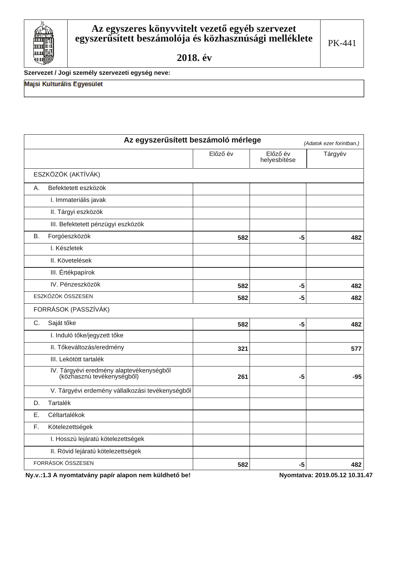Szervezet / Jogi személy szervezeti egység neve:

Majsi Kulturális Egyesület

| Az egyszerűsített beszámoló mérlege<br>(Adatok ezer forintban.)        |          |                          |         |  |  |  |
|------------------------------------------------------------------------|----------|--------------------------|---------|--|--|--|
|                                                                        | Előző év | Előző év<br>helyesbítése | Tárgyév |  |  |  |
| ESZKÖZÖK (AKTÍVÁK)                                                     |          |                          |         |  |  |  |
| Befektetett eszközök<br>А.                                             |          |                          |         |  |  |  |
| I. Immateriális javak                                                  |          |                          |         |  |  |  |
| II. Tárgyi eszközök                                                    |          |                          |         |  |  |  |
| III. Befektetett pénzügyi eszközök                                     |          |                          |         |  |  |  |
| Forgóeszközök<br><b>B.</b>                                             | 582      | -5                       | 482     |  |  |  |
| I. Készletek                                                           |          |                          |         |  |  |  |
| II. Követelések                                                        |          |                          |         |  |  |  |
| III. Értékpapírok                                                      |          |                          |         |  |  |  |
| IV. Pénzeszközök                                                       | 582      | -5                       | 482     |  |  |  |
| ESZKÖZÖK ÖSSZESEN                                                      | 582      | $-5$                     | 482     |  |  |  |
| FORRÁSOK (PASSZÍVÁK)                                                   |          |                          |         |  |  |  |
| $C_{\cdot}$<br>Saját tőke                                              | 582      | -5                       | 482     |  |  |  |
| I. Induló tőke/jegyzett tőke                                           |          |                          |         |  |  |  |
| II. Tőkeváltozás/eredmény                                              | 321      |                          | 577     |  |  |  |
| III. Lekötött tartalék                                                 |          |                          |         |  |  |  |
| IV. Tárgyévi eredmény alaptevékenységből<br>(közhasznú tevékenységből) | 261      | -5                       | $-95$   |  |  |  |
| V. Tárgyévi erdemény vállalkozási tevékenységből                       |          |                          |         |  |  |  |
| <b>Tartalék</b><br>D.                                                  |          |                          |         |  |  |  |
| Céltartalékok<br>Е.                                                    |          |                          |         |  |  |  |
| F.<br>Kötelezettségek                                                  |          |                          |         |  |  |  |
| I. Hosszú lejáratú kötelezettségek                                     |          |                          |         |  |  |  |
| II. Rövid lejáratú kötelezettségek                                     |          |                          |         |  |  |  |
| FORRÁSOK ÖSSZESEN                                                      | 582      | $-5$                     | 482     |  |  |  |

Ny.v.:1.3 A nyomtatvány papír alapon nem küldhető be!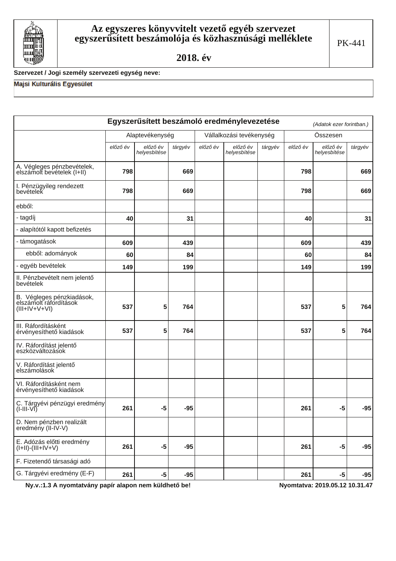

### Szervezet / Jogi személy szervezeti egység neve:

# Majsi Kulturális Egyesület

| Egyszerűsített beszámoló eredménylevezetése<br>(Adatok ezer forintban.) |          |                          |         |          |                          |         |          |                          |         |
|-------------------------------------------------------------------------|----------|--------------------------|---------|----------|--------------------------|---------|----------|--------------------------|---------|
|                                                                         |          | Alaptevékenység          |         |          | Vállalkozási tevékenység |         |          | Összesen                 |         |
|                                                                         | előző év | előző év<br>helyesbítése | tárgyév | előző év | előző év<br>helyesbítése | tárgyév | előző év | előző év<br>helyesbítése | tárgyév |
| A. Végleges pénzbevételek,<br>elszámolt bevételek (I+II)                | 798      |                          | 669     |          |                          |         | 798      |                          | 669     |
| I. Pénzügyileg rendezett<br>bevételek                                   | 798      |                          | 669     |          |                          |         | 798      |                          | 669     |
| ebből:                                                                  |          |                          |         |          |                          |         |          |                          |         |
| - tagdíj                                                                | 40       |                          | 31      |          |                          |         | 40       |                          | 31      |
| - alapítótól kapott befizetés                                           |          |                          |         |          |                          |         |          |                          |         |
| - támogatások                                                           | 609      |                          | 439     |          |                          |         | 609      |                          | 439     |
| ebből: adományok                                                        | 60       |                          | 84      |          |                          |         | 60       |                          | 84      |
| - egyéb bevételek                                                       | 149      |                          | 199     |          |                          |         | 149      |                          | 199     |
| II. Pénzbevételt nem jelentő<br>bevételek                               |          |                          |         |          |                          |         |          |                          |         |
| B. Végleges pénzkiadások,<br>elszámolt ráfordítások<br>$(III+V+V+VI)$   | 537      | 5                        | 764     |          |                          |         | 537      | 5                        | 764     |
| III. Ráfordításként<br>érvényesíthető kiadások                          | 537      | 5                        | 764     |          |                          |         | 537      | 5                        | 764     |
| IV. Ráfordítást jelentő<br>eszközváltozások                             |          |                          |         |          |                          |         |          |                          |         |
| V. Ráfordítást jelentő<br>elszámolások                                  |          |                          |         |          |                          |         |          |                          |         |
| VI. Ráfordításként nem<br>érvényesíthető kiadások                       |          |                          |         |          |                          |         |          |                          |         |
| C. Tárgyévi pénzügyi eredmény<br>$(I-III-VI)$                           | 261      | -5                       | $-95$   |          |                          |         | 261      | -5                       | $-95$   |
| D. Nem pénzben realizált<br>eredmény (II-IV-V)                          |          |                          |         |          |                          |         |          |                          |         |
| E. Adózás előtti eredmény<br>$(I+II)-(III+IV+V)$                        | 261      | $-5$                     | $-95$   |          |                          |         | 261      | -5                       | $-95$   |
| F. Fizetendő társasági adó                                              |          |                          |         |          |                          |         |          |                          |         |
| G. Tárgyévi eredmény (E-F)                                              | 261      | $-5$                     | $-95$   |          |                          |         | 261      | $-5$                     | $-95$   |

Ny.v.:1.3 A nyomtatvány papír alapon nem küldhető be!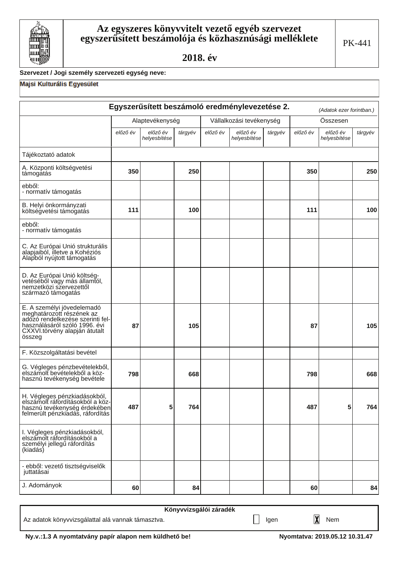

# Szervezet / Jogi személy szervezeti egység neve:

### Majsi Kulturális Egyesület

|                                                                                                                                                                         | Egyszerűsített beszámoló eredménylevezetése 2.<br>(Adatok ezer forintban.) |                          |         |          |                          |         |          |                          |         |  |
|-------------------------------------------------------------------------------------------------------------------------------------------------------------------------|----------------------------------------------------------------------------|--------------------------|---------|----------|--------------------------|---------|----------|--------------------------|---------|--|
|                                                                                                                                                                         |                                                                            | Alaptevékenység          |         |          | Vállalkozási tevékenység |         |          | Összesen                 |         |  |
|                                                                                                                                                                         | előző év                                                                   | előző év<br>helyesbítése | tárgyév | előző év | előző év<br>helyesbítése | tárgyév | előző év | előző év<br>helyesbítése | tárgyév |  |
| Tájékoztató adatok                                                                                                                                                      |                                                                            |                          |         |          |                          |         |          |                          |         |  |
| A. Központi költségvetési<br>támogatás                                                                                                                                  | 350                                                                        |                          | 250     |          |                          |         | 350      |                          | 250     |  |
| ebből:<br>- normatív támogatás                                                                                                                                          |                                                                            |                          |         |          |                          |         |          |                          |         |  |
| B. Helyi önkormányzati<br>költségvetési támogatás                                                                                                                       | 111                                                                        |                          | 100     |          |                          |         | 111      |                          | 100     |  |
| ebből:<br>- normatív támogatás                                                                                                                                          |                                                                            |                          |         |          |                          |         |          |                          |         |  |
| C. Az Európai Unió strukturális<br>alapjaiból, illetve a Kohéziós<br>Alapból nyújtott támogatás                                                                         |                                                                            |                          |         |          |                          |         |          |                          |         |  |
| D. Az Európai Unió költség-<br>vetéséből vagy más államtól,<br>nemzetközi szervezettől<br>származó támogatás                                                            |                                                                            |                          |         |          |                          |         |          |                          |         |  |
| E. A személyi jövedelemadó<br>meghatározott részének az<br>adózó rendelkezése szerinti fel-<br>használásáról szóló 1996. évi<br>CXXVI.törvény alapján átutalt<br>összeg | 87                                                                         |                          | 105     |          |                          |         | 87       |                          | 105     |  |
| F. Közszolgáltatási bevétel                                                                                                                                             |                                                                            |                          |         |          |                          |         |          |                          |         |  |
| G. Végleges pénzbevételekből,<br>elszámolt bevételekből a köz-<br>hasznú tevékenység bevétele                                                                           | 798                                                                        |                          | 668     |          |                          |         | 798      |                          | 668     |  |
| H. Végleges pénzkiadásokból,<br>elszámolt ráfordításokból a köz-<br>hasznú tevékenység érdekében<br>felmerült pénzkiadás, ráfordítás                                    | 487                                                                        | 5                        | 764     |          |                          |         | 487      | 5                        | 764     |  |
| I. Végleges pénzkiadásokból,<br>elszámolt ráfordításokból a<br>személyi jellegű ráfordítás<br>(kiadás)                                                                  |                                                                            |                          |         |          |                          |         |          |                          |         |  |
| - ebből: vezető tisztségviselők<br>juttatásai                                                                                                                           |                                                                            |                          |         |          |                          |         |          |                          |         |  |
| J. Adományok                                                                                                                                                            | 60                                                                         |                          | 84      |          |                          |         | 60       |                          | 84      |  |

| Könyvvizsgálói záradék                            |      |                         |
|---------------------------------------------------|------|-------------------------|
| Az adatok könyvvizsgálattal alá vannak támasztva. | Igen | $\overline{\mathbf{X}}$ |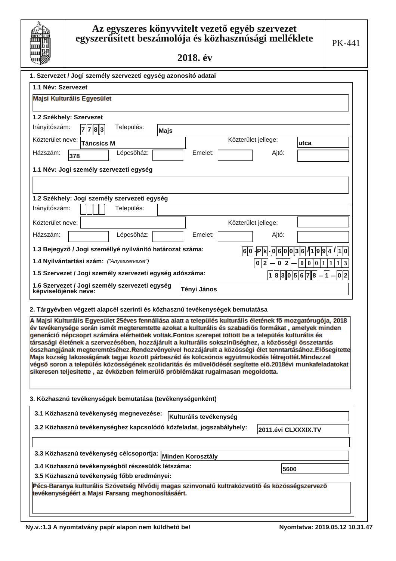# Az egyszeres könyvvitelt vezető egyéb szervezet<br>egyszerűsített beszámolója és közhasznúsági melléklete

2018. év

| 1. Szervezet / Jogi személy szervezeti egység azonosító adatai                                                                                                                                                                                                                                                                                                                                                                                                                                                                                                                                                                                                                                                                                                                                                                                                                                                                 |                   |            |             |                        |  |                          |                                          |
|--------------------------------------------------------------------------------------------------------------------------------------------------------------------------------------------------------------------------------------------------------------------------------------------------------------------------------------------------------------------------------------------------------------------------------------------------------------------------------------------------------------------------------------------------------------------------------------------------------------------------------------------------------------------------------------------------------------------------------------------------------------------------------------------------------------------------------------------------------------------------------------------------------------------------------|-------------------|------------|-------------|------------------------|--|--------------------------|------------------------------------------|
| 1.1 Név: Szervezet                                                                                                                                                                                                                                                                                                                                                                                                                                                                                                                                                                                                                                                                                                                                                                                                                                                                                                             |                   |            |             |                        |  |                          |                                          |
| Majsi Kulturális Egyesület                                                                                                                                                                                                                                                                                                                                                                                                                                                                                                                                                                                                                                                                                                                                                                                                                                                                                                     |                   |            |             |                        |  |                          |                                          |
| 1.2 Székhely: Szervezet                                                                                                                                                                                                                                                                                                                                                                                                                                                                                                                                                                                                                                                                                                                                                                                                                                                                                                        |                   |            |             |                        |  |                          |                                          |
| Irányítószám:                                                                                                                                                                                                                                                                                                                                                                                                                                                                                                                                                                                                                                                                                                                                                                                                                                                                                                                  | 7783              | Település: | <b>Majs</b> |                        |  |                          |                                          |
| Közterület neve:                                                                                                                                                                                                                                                                                                                                                                                                                                                                                                                                                                                                                                                                                                                                                                                                                                                                                                               | <b>Táncsics M</b> |            |             |                        |  | Közterület jellege:      | utca                                     |
| Házszám:<br>378                                                                                                                                                                                                                                                                                                                                                                                                                                                                                                                                                                                                                                                                                                                                                                                                                                                                                                                |                   | Lépcsőház: |             | Emelet:                |  | Ajtó:                    |                                          |
|                                                                                                                                                                                                                                                                                                                                                                                                                                                                                                                                                                                                                                                                                                                                                                                                                                                                                                                                |                   |            |             |                        |  |                          |                                          |
| 1.1 Név: Jogi személy szervezeti egység                                                                                                                                                                                                                                                                                                                                                                                                                                                                                                                                                                                                                                                                                                                                                                                                                                                                                        |                   |            |             |                        |  |                          |                                          |
|                                                                                                                                                                                                                                                                                                                                                                                                                                                                                                                                                                                                                                                                                                                                                                                                                                                                                                                                |                   |            |             |                        |  |                          |                                          |
| 1.2 Székhely: Jogi személy szervezeti egység                                                                                                                                                                                                                                                                                                                                                                                                                                                                                                                                                                                                                                                                                                                                                                                                                                                                                   |                   |            |             |                        |  |                          |                                          |
| Irányítószám:                                                                                                                                                                                                                                                                                                                                                                                                                                                                                                                                                                                                                                                                                                                                                                                                                                                                                                                  |                   | Település: |             |                        |  |                          |                                          |
| Közterület neve:                                                                                                                                                                                                                                                                                                                                                                                                                                                                                                                                                                                                                                                                                                                                                                                                                                                                                                               |                   |            |             |                        |  | Közterület jellege:      |                                          |
| Házszám:                                                                                                                                                                                                                                                                                                                                                                                                                                                                                                                                                                                                                                                                                                                                                                                                                                                                                                                       |                   | Lépcsőház: |             | Emelet:                |  | Ajtó:                    |                                          |
| 1.3 Bejegyző / Jogi személlyé nyilvánító határozat száma:                                                                                                                                                                                                                                                                                                                                                                                                                                                                                                                                                                                                                                                                                                                                                                                                                                                                      |                   |            |             |                        |  | 6 0 - P k                | . 0 6 0 0 3 6 1 1 9 9 4 1 1 0            |
| 1.4 Nyilvántartási szám: ("Anyaszervezet")                                                                                                                                                                                                                                                                                                                                                                                                                                                                                                                                                                                                                                                                                                                                                                                                                                                                                     |                   |            |             |                        |  | 0 2<br>$\mathbf{2}$<br>0 | $\vert 0 \vert 0$<br>  0                 |
| 1.5 Szervezet / Jogi személy szervezeti egység adószáma:                                                                                                                                                                                                                                                                                                                                                                                                                                                                                                                                                                                                                                                                                                                                                                                                                                                                       |                   |            |             |                        |  |                          | 1  8  3  0  5  6  7  8  —  1 <br>$- 0 2$ |
| 1.6 Szervezet / Jogi személy szervezeti egység                                                                                                                                                                                                                                                                                                                                                                                                                                                                                                                                                                                                                                                                                                                                                                                                                                                                                 |                   |            |             |                        |  |                          |                                          |
| képviselőjének neve:                                                                                                                                                                                                                                                                                                                                                                                                                                                                                                                                                                                                                                                                                                                                                                                                                                                                                                           |                   |            |             | Tényi János            |  |                          |                                          |
|                                                                                                                                                                                                                                                                                                                                                                                                                                                                                                                                                                                                                                                                                                                                                                                                                                                                                                                                |                   |            |             |                        |  |                          |                                          |
| 2. Tárgyévben végzett alapcél szerinti és közhasznú tevékenységek bemutatása<br>A Majsi Kulturális Egyesület 25éves fennállása alatt a település kulturális életének fő mozgatórugója, 2018<br>év tevékenysége során ismét megteremtette azokat a kulturális és szabadiõs formákat , amelyek minden<br>generáció népcsoprt számára elérhetőek voltak.Fontos szerepet töltött be a település kulturális és<br>társasági életének a szervezésében, hozzájárult a kulturális sokszinűséghez, a közösségi összetartás<br>összhangjának megteremtéséhez.Rendezvényeivel hozzájárult a közösségi élet tenntartásához.Elősegitette<br>Majs község lakosságának tagjai között párbeszéd és kölcsönös együtmüködés létrejöttét.Mindezzel<br>végső soron a település közösségének szolidaritás és művelődését segítette elő.2018évi munkafeladatokat<br>sikeresen teljesitette, az évközben felmerülő próblémákat rugalmasan megoldotta. |                   |            |             |                        |  |                          |                                          |
| 3. Közhasznú tevékenységek bemutatása (tevékenységenként)                                                                                                                                                                                                                                                                                                                                                                                                                                                                                                                                                                                                                                                                                                                                                                                                                                                                      |                   |            |             |                        |  |                          |                                          |
| 3.1 Közhasznú tevékenység megnevezése:                                                                                                                                                                                                                                                                                                                                                                                                                                                                                                                                                                                                                                                                                                                                                                                                                                                                                         |                   |            |             | Kulturális tevékenység |  |                          |                                          |
| 3.2 Közhasznú tevékenységhez kapcsolódó közfeladat, jogszabályhely:                                                                                                                                                                                                                                                                                                                                                                                                                                                                                                                                                                                                                                                                                                                                                                                                                                                            |                   |            |             |                        |  | 2011.évi CLXXXIX.TV      |                                          |
|                                                                                                                                                                                                                                                                                                                                                                                                                                                                                                                                                                                                                                                                                                                                                                                                                                                                                                                                |                   |            |             |                        |  |                          |                                          |

3.4 Közhasznú tevékenységből részesülők létszáma:

3.5 Közhasznú tevékenység főbb eredményei:

Pécs-Baranya kulturális Szövetség Nívódij magas szinvonalú kultraközvetitő és közösségszervező tevékenységéért a Majsi Farsang meghonosításáért.

5600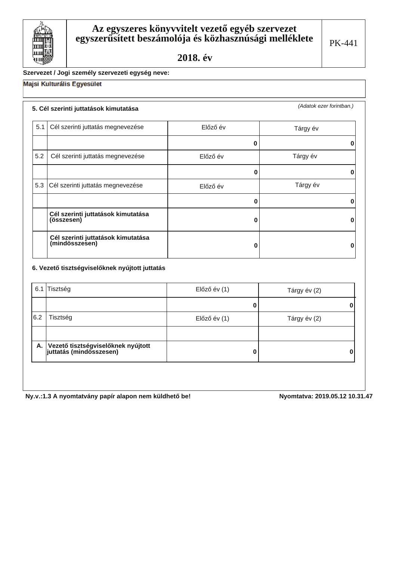

# Szervezet / Jogi személy szervezeti egység neve:

# Majsi Kulturális Egyesület

# 5. Cél szerinti juttatások kimutatása

(Adatok ezer forintban.)

| 5.1 | Cél szerinti juttatás megnevezése                    | Előző év | Tárgy év |
|-----|------------------------------------------------------|----------|----------|
|     |                                                      | ŋ        |          |
| 5.2 | Cél szerinti juttatás megnevezése                    | Előző év | Tárgy év |
|     |                                                      | O        |          |
|     | 5.3 Cél szerinti juttatás megnevezése                | Előző év | Tárgy év |
|     |                                                      | O        |          |
|     | Cél szerinti juttatások kimutatása<br>(összesen)     |          |          |
|     | Cél szerinti juttatások kimutatása<br>(mindösszesen) |          |          |

### 6. Vezető tisztségviselőknek nyújtott juttatás

|     | 6.1 Tisztség                                                  | Előző év (1) | Tárgy év (2) |
|-----|---------------------------------------------------------------|--------------|--------------|
|     |                                                               |              |              |
| 6.2 | Tisztség                                                      | Előző év (1) | Tárgy év (2) |
|     |                                                               |              |              |
| A.  | Vezető tisztségviselőknek nyújtott<br>juttatás (mindösszesen) |              |              |

Ny.v.:1.3 A nyomtatvány papír alapon nem küldhető be!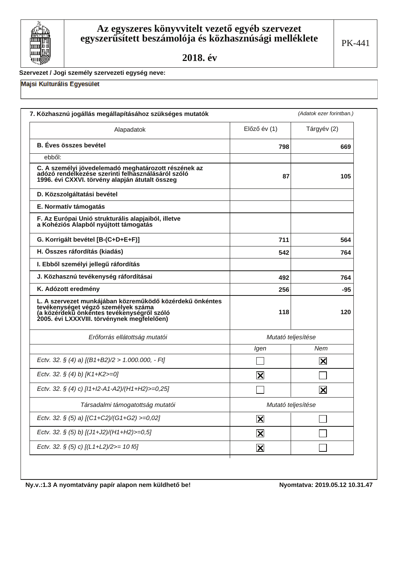

#### Szervezet / Jogi személy szervezeti egység neve:

### Majsi Kulturális Egyesület

| 7. Közhasznú jogállás megállapításához szükséges mutatók                                                                                                                                     |                         | (Adatok ezer forintban.) |
|----------------------------------------------------------------------------------------------------------------------------------------------------------------------------------------------|-------------------------|--------------------------|
| Alapadatok                                                                                                                                                                                   | $El$ őző év $(1)$       | Tárgyév (2)              |
| <b>B.</b> Éves összes bevétel                                                                                                                                                                | 798                     | 669                      |
| ebből:                                                                                                                                                                                       |                         |                          |
| C. A személyi jövedelemadó meghatározott részének az<br>adózó rendelkezése szerinti felhasználásáról szóló<br>1996. évi CXXVI. törvény alapján átutalt összeg                                | 87                      | 105                      |
| D. Közszolgáltatási bevétel                                                                                                                                                                  |                         |                          |
| E. Normatív támogatás                                                                                                                                                                        |                         |                          |
| F. Az Európai Unió strukturális alapjaiból, illetve<br>a Kohéziós Alapból nyújtott támogatás                                                                                                 |                         |                          |
| G. Korrigált bevétel [B-(C+D+E+F)]                                                                                                                                                           | 711                     | 564                      |
| H. Összes ráfordítás (kiadás)                                                                                                                                                                | 542                     | 764                      |
| I. Ebből személyi jellegű ráfordítás                                                                                                                                                         |                         |                          |
| J. Közhasznú tevékenység ráfordításai                                                                                                                                                        | 492                     | 764                      |
| K. Adózott eredmény                                                                                                                                                                          | 256                     | $-95$                    |
| L. A szervezet munkájában közreműködő közérdekű önkéntes<br>tevékenységet végző személyek száma<br>(a közérdekű önkéntes tevékenységről szóló<br>2005. évi LXXXVIII. törvénynek megfelelően) | 118                     | 120                      |
| Erőforrás ellátottság mutatói                                                                                                                                                                | Mutató teljesítése      |                          |
|                                                                                                                                                                                              | Igen                    | Nem                      |
| Ectv. 32. § (4) a) $[(B1+B2)/2 > 1.000.000, -Ft]$                                                                                                                                            |                         | $ \mathsf{X} $           |
| Ectv. 32. § (4) b) [K1+K2>=0]                                                                                                                                                                | $\overline{\mathsf{x}}$ |                          |
| Ectv. 32. § (4) c) [11+12-A1-A2)/(H1+H2)>=0,25]                                                                                                                                              |                         | $\overline{\mathsf{x}}$  |
| Társadalmi támogatottság mutatói                                                                                                                                                             | Mutató teljesítése      |                          |
| Ectv. 32. § (5) a) [(C1+C2)/(G1+G2) >=0,02]                                                                                                                                                  | $\mathbf{\overline{X}}$ |                          |
| Ectv. 32. § (5) b) [(J1+J2)/(H1+H2)>=0,5]                                                                                                                                                    | $\mathbf{\overline{X}}$ |                          |
| Ectv. 32. § (5) c) [(L1+L2)/2>= 10 fő]                                                                                                                                                       | $\mathbf{\overline{X}}$ |                          |

Ny.v.:1.3 A nyomtatvány papír alapon nem küldhető be!